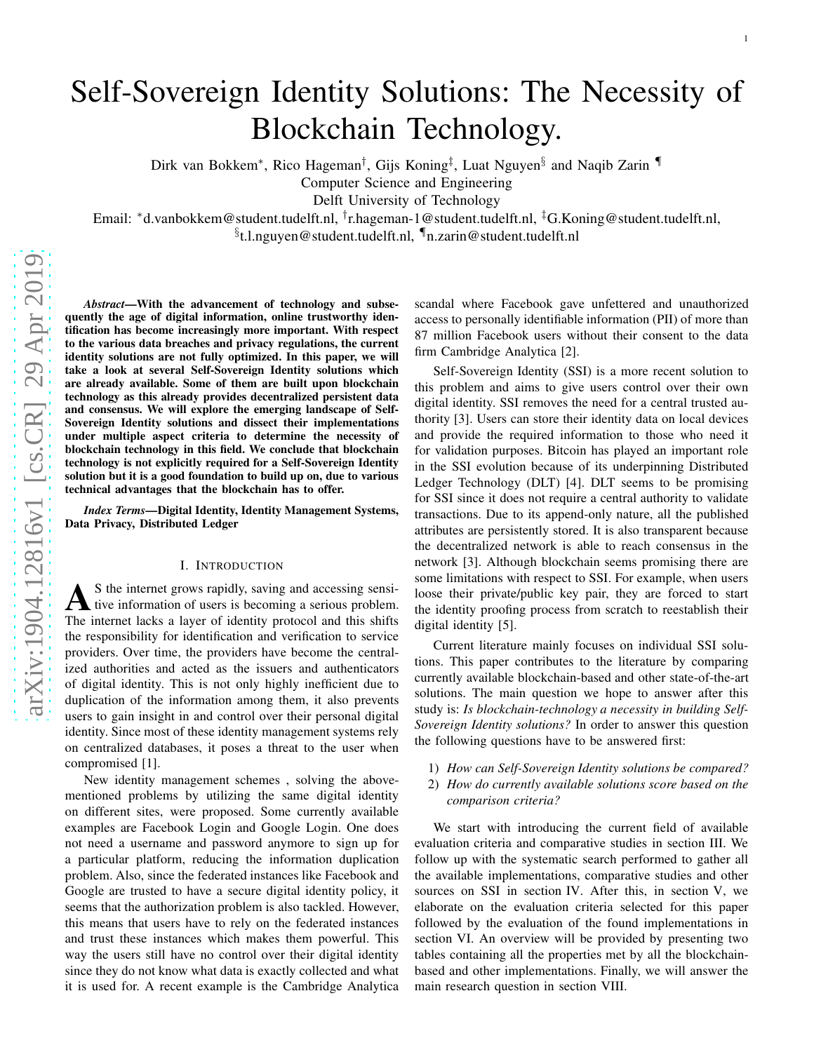# Self-Sovereign Identity Solutions: The Necessity of Blockchain Technology.

Dirk van Bokkem\*, Rico Hageman<sup>†</sup>, Gijs Koning<sup>‡</sup>, Luat Nguyen<sup>§</sup> and Naqib Zarin ¶

Computer Science and Engineering

Delft University of Technology

Email: \*d.vanbokkem@student.tudelft.nl, <sup>†</sup>r.hageman-1@student.tudelft.nl, <sup>‡</sup>G.Koning@student.tudelft.nl, § t.l.nguyen@student.tudelft.nl, ¶n.zarin@student.tudelft.nl

*Abstract*—With the advancement of technology and subsequently the age of digital information, online trustworthy identification has become increasingly more important. With respect to the various data breaches and privacy regulations, the current identity solutions are not fully optimized. In this paper, we will take a look at several Self-Sovereign Identity solutions which are already available. Some of them are built upon blockchai n technology as this already provides decentralized persistent data and consensus. We will explore the emerging landscape of Self-Sovereign Identity solutions and dissect their implementations under multiple aspect criteria to determine the necessity o f blockchain technology in this field. We conclude that blockchain technology is not explicitly required for a Self-Sovereign Identity solution but it is a good foundation to build up on, due to various technical advantages that the blockchain has to offer.

*Index Terms*—Digital Identity, Identity Management Systems, Data Privacy, Distributed Ledger

## I. INTRODUCTION

A S the internet grows rapidly, saving and accessing sensitive information of users is becoming a serious problem.<br>The internet lacks a layer of identity protocol and this shifts S the internet grows rapidly, saving and accessing sensitive information of users is becoming a serious problem. the responsibility for identification and verification to service providers. Over time, the providers have become the central ized authorities and acted as the issuers and authenticator s of digital identity. This is not only highly inefficient due t o duplication of the information among them, it also prevents users to gain insight in and control over their personal digital identity. Since most of these identity management systems rely on centralized databases, it poses a threat to the user when compromised [\[1\]](#page-6-0).

New identity management schemes , solving the abovementioned problems by utilizing the same digital identity on different sites, were proposed. Some currently availabl e examples are Facebook Login and Google Login. One does not need a username and password anymore to sign up for a particular platform, reducing the information duplication problem. Also, since the federated instances like Facebook and Google are trusted to have a secure digital identity policy, it seems that the authorization problem is also tackled. However, this means that users have to rely on the federated instances and trust these instances which makes them powerful. This way the users still have no control over their digital identity since they do not know what data is exactly collected and what it is used for. A recent example is the Cambridge Analytica scandal where Facebook gave unfettered and unauthorized access to personally identifiable information (PII) of more than 87 million Facebook users without their consent to the data firm Cambridge Analytica [\[2\]](#page-6-1).

Self-Sovereign Identity (SSI) is a more recent solution to this problem and aims to give users control over their own digital identity. SSI removes the need for a central trusted authority [\[3\]](#page-6-2). Users can store their identity data on local devices and provide the required information to those who need it for validation purposes. Bitcoin has played an important role in the SSI evolution because of its underpinning Distribute d Ledger Technology (DLT) [\[4\]](#page-6-3). DLT seems to be promising for SSI since it does not require a central authority to validate transactions. Due to its append-only nature, all the published attributes are persistently stored. It is also transparent because the decentralized network is able to reach consensus in the network [\[3\]](#page-6-2). Although blockchain seems promising there are some limitations with respect to SSI. For example, when user s loose their private/public key pair, they are forced to star t the identity proofing process from scratch to reestablish their digital identity [\[5\]](#page-6-4).

Current literature mainly focuses on individual SSI solutions. This paper contributes to the literature by comparing currently available blockchain-based and other state-of-the-art solutions. The main question we hope to answer after this study is: *Is blockchain-technology a necessity in building Self-Sovereign Identity solutions?* In order to answer this question the following questions have to be answered first:

- 1) *How can Self-Sovereign Identity solutions be compared?*
- 2) *How do currently available solutions score based on the comparison criteria?*

We start with introducing the current field of available evaluation criteria and comparative studies in [section III.](#page-1-0) We follow up with the systematic search performed to gather all the available implementations, comparative studies and other sources on SSI in [section IV.](#page-1-1) After this, in [section V,](#page-1-2) we elaborate on the evaluation criteria selected for this pape r followed by the evaluation of the found implementations in [section VI.](#page-2-0) An overview will be provided by presenting two tables containing all the properties met by all the blockchainbased and other implementations. Finally, we will answer the main research question in [section VIII.](#page-6-5)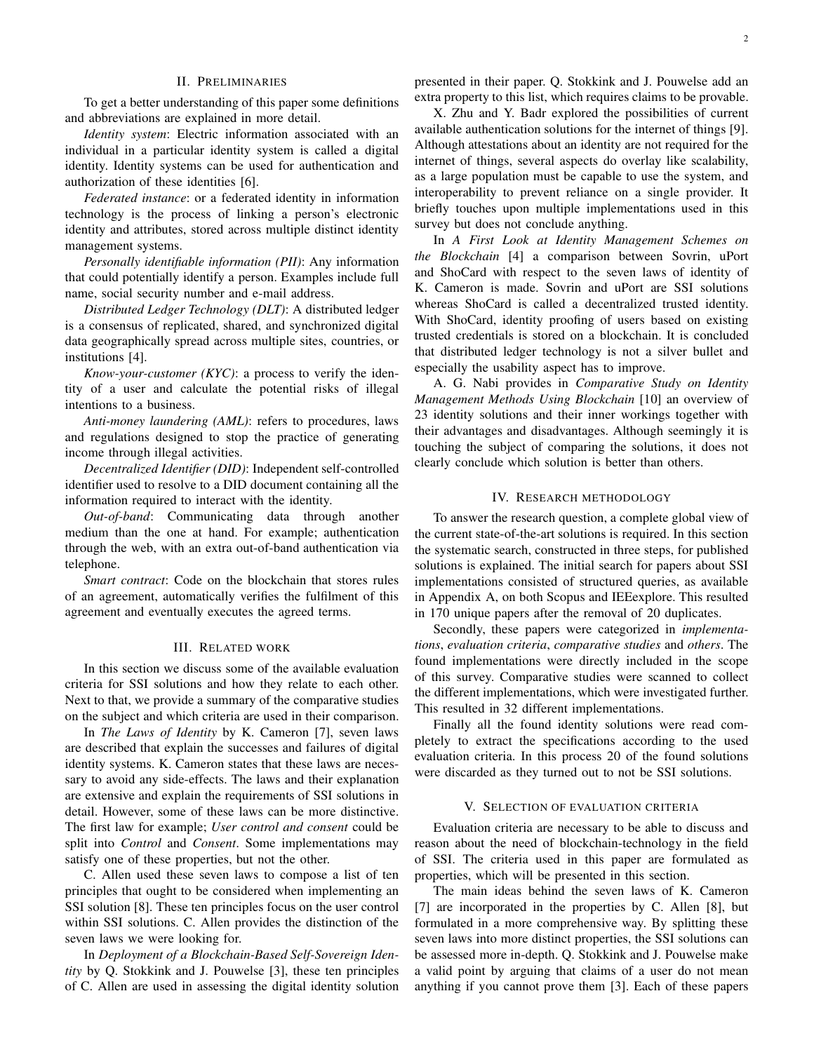# II. PRELIMINARIES

To get a better understanding of this paper some definitions and abbreviations are explained in more detail.

*Identity system*: Electric information associated with an individual in a particular identity system is called a digital identity. Identity systems can be used for authentication and authorization of these identities [\[6\]](#page-6-6).

*Federated instance*: or a federated identity in information technology is the process of linking a person's electronic identity and attributes, stored across multiple distinct identity management systems.

*Personally identifiable information (PII)*: Any information that could potentially identify a person. Examples include full name, social security number and e-mail address.

*Distributed Ledger Technology (DLT)*: A distributed ledger is a consensus of replicated, shared, and synchronized digital data geographically spread across multiple sites, countries, or institutions [\[4\]](#page-6-3).

*Know-your-customer (KYC)*: a process to verify the identity of a user and calculate the potential risks of illegal intentions to a business.

*Anti-money laundering (AML)*: refers to procedures, laws and regulations designed to stop the practice of generating income through illegal activities.

*Decentralized Identifier (DID)*: Independent self-controlled identifier used to resolve to a DID document containing all the information required to interact with the identity.

*Out-of-band*: Communicating data through another medium than the one at hand. For example; authentication through the web, with an extra out-of-band authentication via telephone.

*Smart contract*: Code on the blockchain that stores rules of an agreement, automatically verifies the fulfilment of this agreement and eventually executes the agreed terms.

#### III. RELATED WORK

<span id="page-1-0"></span>In this section we discuss some of the available evaluation criteria for SSI solutions and how they relate to each other. Next to that, we provide a summary of the comparative studies on the subject and which criteria are used in their comparison.

In *The Laws of Identity* by K. Cameron [\[7\]](#page-6-7), seven laws are described that explain the successes and failures of digital identity systems. K. Cameron states that these laws are necessary to avoid any side-effects. The laws and their explanation are extensive and explain the requirements of SSI solutions in detail. However, some of these laws can be more distinctive. The first law for example; *User control and consent* could be split into *Control* and *Consent*. Some implementations may satisfy one of these properties, but not the other.

C. Allen used these seven laws to compose a list of ten principles that ought to be considered when implementing an SSI solution [\[8\]](#page-7-0). These ten principles focus on the user control within SSI solutions. C. Allen provides the distinction of the seven laws we were looking for.

In *Deployment of a Blockchain-Based Self-Sovereign Identity* by Q. Stokkink and J. Pouwelse [\[3\]](#page-6-2), these ten principles of C. Allen are used in assessing the digital identity solution presented in their paper. Q. Stokkink and J. Pouwelse add an extra property to this list, which requires claims to be provable.

X. Zhu and Y. Badr explored the possibilities of current available authentication solutions for the internet of things [\[9\]](#page-7-1). Although attestations about an identity are not required for the internet of things, several aspects do overlay like scalability, as a large population must be capable to use the system, and interoperability to prevent reliance on a single provider. It briefly touches upon multiple implementations used in this survey but does not conclude anything.

In *A First Look at Identity Management Schemes on the Blockchain* [\[4\]](#page-6-3) a comparison between Sovrin, uPort and ShoCard with respect to the seven laws of identity of K. Cameron is made. Sovrin and uPort are SSI solutions whereas ShoCard is called a decentralized trusted identity. With ShoCard, identity proofing of users based on existing trusted credentials is stored on a blockchain. It is concluded that distributed ledger technology is not a silver bullet and especially the usability aspect has to improve.

A. G. Nabi provides in *Comparative Study on Identity Management Methods Using Blockchain* [\[10\]](#page-7-2) an overview of 23 identity solutions and their inner workings together with their advantages and disadvantages. Although seemingly it is touching the subject of comparing the solutions, it does not clearly conclude which solution is better than others.

# IV. RESEARCH METHODOLOGY

<span id="page-1-1"></span>To answer the research question, a complete global view of the current state-of-the-art solutions is required. In this section the systematic search, constructed in three steps, for published solutions is explained. The initial search for papers about SSI implementations consisted of structured queries, as available in [Appendix A,](#page-6-8) on both Scopus and IEEexplore. This resulted in 170 unique papers after the removal of 20 duplicates.

Secondly, these papers were categorized in *implementations*, *evaluation criteria*, *comparative studies* and *others*. The found implementations were directly included in the scope of this survey. Comparative studies were scanned to collect the different implementations, which were investigated further. This resulted in 32 different implementations.

Finally all the found identity solutions were read completely to extract the specifications according to the used evaluation criteria. In this process 20 of the found solutions were discarded as they turned out to not be SSI solutions.

## V. SELECTION OF EVALUATION CRITERIA

<span id="page-1-2"></span>Evaluation criteria are necessary to be able to discuss and reason about the need of blockchain-technology in the field of SSI. The criteria used in this paper are formulated as properties, which will be presented in this section.

The main ideas behind the seven laws of K. Cameron [\[7\]](#page-6-7) are incorporated in the properties by C. Allen [\[8\]](#page-7-0), but formulated in a more comprehensive way. By splitting these seven laws into more distinct properties, the SSI solutions can be assessed more in-depth. Q. Stokkink and J. Pouwelse make a valid point by arguing that claims of a user do not mean anything if you cannot prove them [\[3\]](#page-6-2). Each of these papers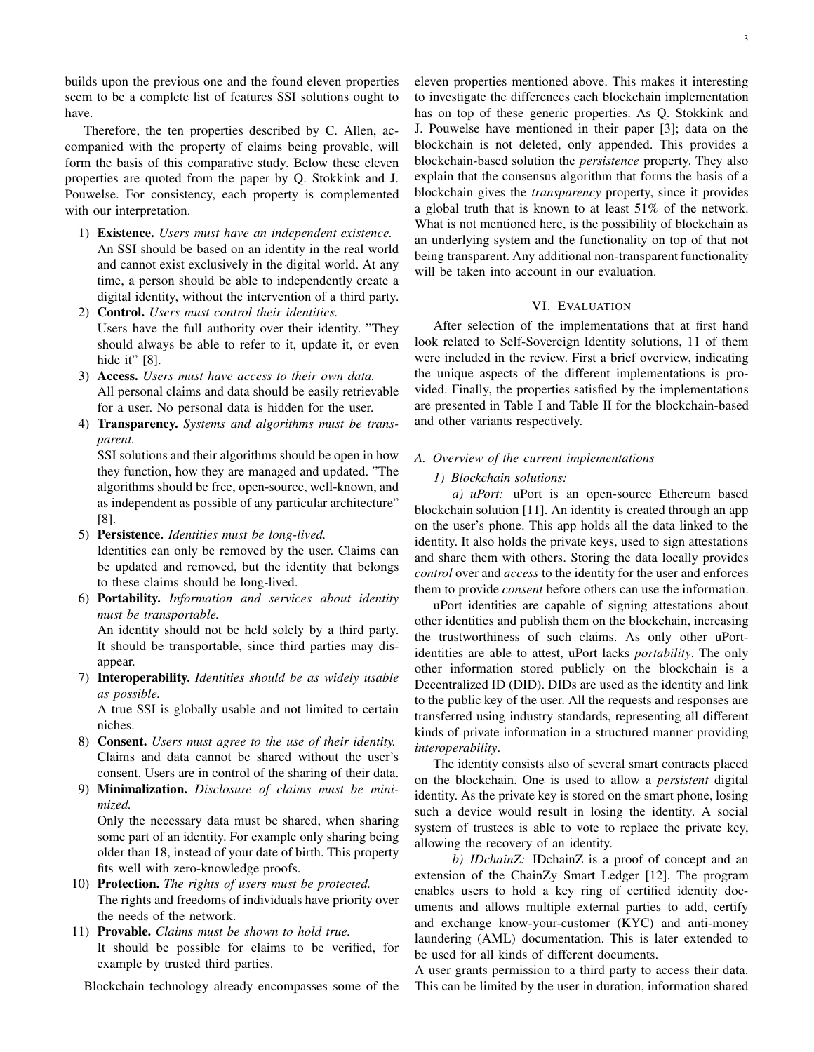builds upon the previous one and the found eleven properties seem to be a complete list of features SSI solutions ought to have.

Therefore, the ten properties described by C. Allen, accompanied with the property of claims being provable, will form the basis of this comparative study. Below these eleven properties are quoted from the paper by Q. Stokkink and J. Pouwelse. For consistency, each property is complemented with our interpretation.

- 1) Existence. *Users must have an independent existence.* An SSI should be based on an identity in the real world and cannot exist exclusively in the digital world. At any time, a person should be able to independently create a digital identity, without the intervention of a third party.
- 2) Control. *Users must control their identities.* Users have the full authority over their identity. "They should always be able to refer to it, update it, or even hide it" [\[8\]](#page-7-0).
- 3) Access. *Users must have access to their own data.* All personal claims and data should be easily retrievable for a user. No personal data is hidden for the user.
- 4) Transparency. *Systems and algorithms must be transparent.*

SSI solutions and their algorithms should be open in how they function, how they are managed and updated. "The algorithms should be free, open-source, well-known, and as independent as possible of any particular architecture" [\[8\]](#page-7-0).

5) Persistence. *Identities must be long-lived.*

Identities can only be removed by the user. Claims can be updated and removed, but the identity that belongs to these claims should be long-lived.

6) Portability. *Information and services about identity must be transportable.*

An identity should not be held solely by a third party. It should be transportable, since third parties may disappear.

7) Interoperability. *Identities should be as widely usable as possible.*

A true SSI is globally usable and not limited to certain niches.

- 8) Consent. *Users must agree to the use of their identity.* Claims and data cannot be shared without the user's consent. Users are in control of the sharing of their data.
- 9) Minimalization. *Disclosure of claims must be minimized.*

Only the necessary data must be shared, when sharing some part of an identity. For example only sharing being older than 18, instead of your date of birth. This property fits well with zero-knowledge proofs.

- 10) Protection. *The rights of users must be protected.* The rights and freedoms of individuals have priority over the needs of the network.
- 11) Provable. *Claims must be shown to hold true.* It should be possible for claims to be verified, for example by trusted third parties.

Blockchain technology already encompasses some of the

eleven properties mentioned above. This makes it interesting to investigate the differences each blockchain implementation has on top of these generic properties. As Q. Stokkink and J. Pouwelse have mentioned in their paper [\[3\]](#page-6-2); data on the blockchain is not deleted, only appended. This provides a blockchain-based solution the *persistence* property. They also explain that the consensus algorithm that forms the basis of a blockchain gives the *transparency* property, since it provides a global truth that is known to at least 51% of the network. What is not mentioned here, is the possibility of blockchain as an underlying system and the functionality on top of that not being transparent. Any additional non-transparent functionality will be taken into account in our evaluation.

# VI. EVALUATION

<span id="page-2-0"></span>After selection of the implementations that at first hand look related to Self-Sovereign Identity solutions, 11 of them were included in the review. First a brief overview, indicating the unique aspects of the different implementations is provided. Finally, the properties satisfied by the implementations are presented in [Table I](#page-5-0) and [Table II](#page-5-1) for the blockchain-based and other variants respectively.

## *A. Overview of the current implementations*

# *1) Blockchain solutions:*

*a) uPort:* uPort is an open-source Ethereum based blockchain solution [\[11\]](#page-7-3). An identity is created through an app on the user's phone. This app holds all the data linked to the identity. It also holds the private keys, used to sign attestations and share them with others. Storing the data locally provides *control* over and *access* to the identity for the user and enforces them to provide *consent* before others can use the information.

uPort identities are capable of signing attestations about other identities and publish them on the blockchain, increasing the trustworthiness of such claims. As only other uPortidentities are able to attest, uPort lacks *portability*. The only other information stored publicly on the blockchain is a Decentralized ID (DID). DIDs are used as the identity and link to the public key of the user. All the requests and responses are transferred using industry standards, representing all different kinds of private information in a structured manner providing *interoperability*.

The identity consists also of several smart contracts placed on the blockchain. One is used to allow a *persistent* digital identity. As the private key is stored on the smart phone, losing such a device would result in losing the identity. A social system of trustees is able to vote to replace the private key, allowing the recovery of an identity.

*b) IDchainZ:* IDchainZ is a proof of concept and an extension of the ChainZy Smart Ledger [\[12\]](#page-7-4). The program enables users to hold a key ring of certified identity documents and allows multiple external parties to add, certify and exchange know-your-customer (KYC) and anti-money laundering (AML) documentation. This is later extended to be used for all kinds of different documents.

A user grants permission to a third party to access their data. This can be limited by the user in duration, information shared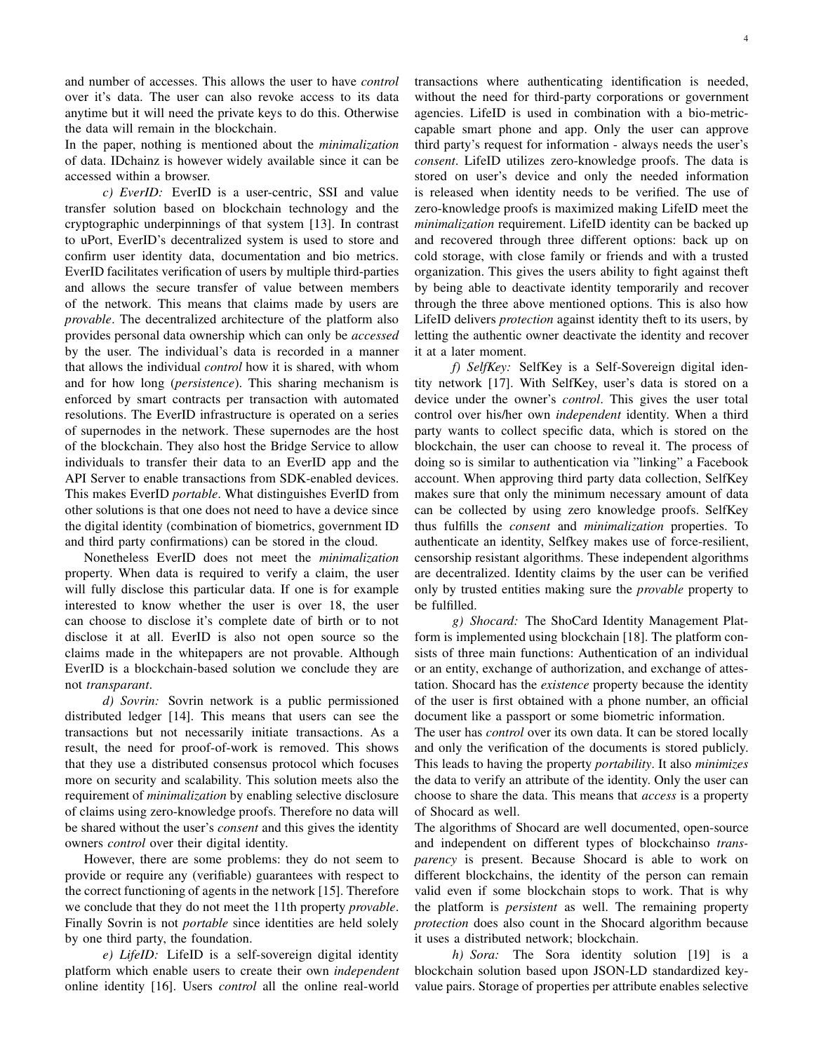and number of accesses. This allows the user to have *control* over it's data. The user can also revoke access to its data anytime but it will need the private keys to do this. Otherwise the data will remain in the blockchain.

In the paper, nothing is mentioned about the *minimalization* of data. IDchainz is however widely available since it can be accessed within a browser.

*c) EverID:* EverID is a user-centric, SSI and value transfer solution based on blockchain technology and the cryptographic underpinnings of that system [\[13\]](#page-7-5). In contrast to uPort, EverID's decentralized system is used to store and confirm user identity data, documentation and bio metrics. EverID facilitates verification of users by multiple third-parties and allows the secure transfer of value between members of the network. This means that claims made by users are *provable*. The decentralized architecture of the platform also provides personal data ownership which can only be *accessed* by the user. The individual's data is recorded in a manner that allows the individual *control* how it is shared, with whom and for how long (*persistence*). This sharing mechanism is enforced by smart contracts per transaction with automated resolutions. The EverID infrastructure is operated on a series of supernodes in the network. These supernodes are the host of the blockchain. They also host the Bridge Service to allow individuals to transfer their data to an EverID app and the API Server to enable transactions from SDK-enabled devices. This makes EverID *portable*. What distinguishes EverID from other solutions is that one does not need to have a device since the digital identity (combination of biometrics, government ID and third party confirmations) can be stored in the cloud.

Nonetheless EverID does not meet the *minimalization* property. When data is required to verify a claim, the user will fully disclose this particular data. If one is for example interested to know whether the user is over 18, the user can choose to disclose it's complete date of birth or to not disclose it at all. EverID is also not open source so the claims made in the whitepapers are not provable. Although EverID is a blockchain-based solution we conclude they are not *transparant*.

*d) Sovrin:* Sovrin network is a public permissioned distributed ledger [\[14\]](#page-7-6). This means that users can see the transactions but not necessarily initiate transactions. As a result, the need for proof-of-work is removed. This shows that they use a distributed consensus protocol which focuses more on security and scalability. This solution meets also the requirement of *minimalization* by enabling selective disclosure of claims using zero-knowledge proofs. Therefore no data will be shared without the user's *consent* and this gives the identity owners *control* over their digital identity.

However, there are some problems: they do not seem to provide or require any (verifiable) guarantees with respect to the correct functioning of agents in the network [\[15\]](#page-7-7). Therefore we conclude that they do not meet the 11th property *provable*. Finally Sovrin is not *portable* since identities are held solely by one third party, the foundation.

*e) LifeID:* LifeID is a self-sovereign digital identity platform which enable users to create their own *independent* online identity [\[16\]](#page-7-8). Users *control* all the online real-world

transactions where authenticating identification is needed, without the need for third-party corporations or government agencies. LifeID is used in combination with a bio-metriccapable smart phone and app. Only the user can approve third party's request for information - always needs the user's *consent*. LifeID utilizes zero-knowledge proofs. The data is stored on user's device and only the needed information is released when identity needs to be verified. The use of zero-knowledge proofs is maximized making LifeID meet the *minimalization* requirement. LifeID identity can be backed up and recovered through three different options: back up on cold storage, with close family or friends and with a trusted organization. This gives the users ability to fight against theft by being able to deactivate identity temporarily and recover through the three above mentioned options. This is also how LifeID delivers *protection* against identity theft to its users, by letting the authentic owner deactivate the identity and recover it at a later moment.

*f) SelfKey:* SelfKey is a Self-Sovereign digital identity network [\[17\]](#page-7-9). With SelfKey, user's data is stored on a device under the owner's *control*. This gives the user total control over his/her own *independent* identity. When a third party wants to collect specific data, which is stored on the blockchain, the user can choose to reveal it. The process of doing so is similar to authentication via "linking" a Facebook account. When approving third party data collection, SelfKey makes sure that only the minimum necessary amount of data can be collected by using zero knowledge proofs. SelfKey thus fulfills the *consent* and *minimalization* properties. To authenticate an identity, Selfkey makes use of force-resilient, censorship resistant algorithms. These independent algorithms are decentralized. Identity claims by the user can be verified only by trusted entities making sure the *provable* property to be fulfilled.

*g) Shocard:* The ShoCard Identity Management Platform is implemented using blockchain [\[18\]](#page-7-10). The platform consists of three main functions: Authentication of an individual or an entity, exchange of authorization, and exchange of attestation. Shocard has the *existence* property because the identity of the user is first obtained with a phone number, an official document like a passport or some biometric information.

The user has *control* over its own data. It can be stored locally and only the verification of the documents is stored publicly. This leads to having the property *portability*. It also *minimizes* the data to verify an attribute of the identity. Only the user can choose to share the data. This means that *access* is a property of Shocard as well.

The algorithms of Shocard are well documented, open-source and independent on different types of blockchainso *transparency* is present. Because Shocard is able to work on different blockchains, the identity of the person can remain valid even if some blockchain stops to work. That is why the platform is *persistent* as well. The remaining property *protection* does also count in the Shocard algorithm because it uses a distributed network; blockchain.

*h) Sora:* The Sora identity solution [\[19\]](#page-7-11) is a blockchain solution based upon JSON-LD standardized keyvalue pairs. Storage of properties per attribute enables selective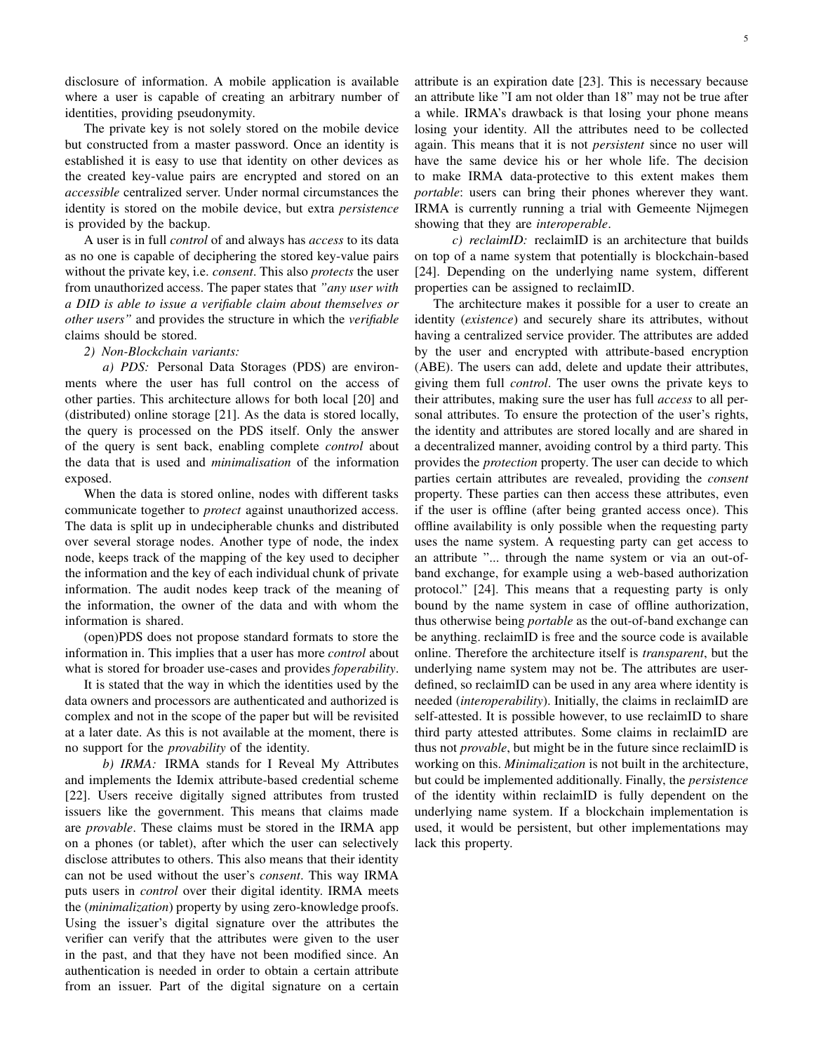disclosure of information. A mobile application is available where a user is capable of creating an arbitrary number of identities, providing pseudonymity.

The private key is not solely stored on the mobile device but constructed from a master password. Once an identity is established it is easy to use that identity on other devices as the created key-value pairs are encrypted and stored on an *accessible* centralized server. Under normal circumstances the identity is stored on the mobile device, but extra *persistence* is provided by the backup.

A user is in full *control* of and always has *access* to its data as no one is capable of deciphering the stored key-value pairs without the private key, i.e. *consent*. This also *protects* the user from unauthorized access. The paper states that *"any user with a DID is able to issue a verifiable claim about themselves or other users"* and provides the structure in which the *verifiable* claims should be stored.

## *2) Non-Blockchain variants:*

*a) PDS:* Personal Data Storages (PDS) are environments where the user has full control on the access of other parties. This architecture allows for both local [\[20\]](#page-7-12) and (distributed) online storage [\[21\]](#page-7-13). As the data is stored locally, the query is processed on the PDS itself. Only the answer of the query is sent back, enabling complete *control* about the data that is used and *minimalisation* of the information exposed.

When the data is stored online, nodes with different tasks communicate together to *protect* against unauthorized access. The data is split up in undecipherable chunks and distributed over several storage nodes. Another type of node, the index node, keeps track of the mapping of the key used to decipher the information and the key of each individual chunk of private information. The audit nodes keep track of the meaning of the information, the owner of the data and with whom the information is shared.

(open)PDS does not propose standard formats to store the information in. This implies that a user has more *control* about what is stored for broader use-cases and provides *foperability*.

It is stated that the way in which the identities used by the data owners and processors are authenticated and authorized is complex and not in the scope of the paper but will be revisited at a later date. As this is not available at the moment, there is no support for the *provability* of the identity.

*b) IRMA:* IRMA stands for I Reveal My Attributes and implements the Idemix attribute-based credential scheme [\[22\]](#page-7-14). Users receive digitally signed attributes from trusted issuers like the government. This means that claims made are *provable*. These claims must be stored in the IRMA app on a phones (or tablet), after which the user can selectively disclose attributes to others. This also means that their identity can not be used without the user's *consent*. This way IRMA puts users in *control* over their digital identity. IRMA meets the (*minimalization*) property by using zero-knowledge proofs. Using the issuer's digital signature over the attributes the verifier can verify that the attributes were given to the user in the past, and that they have not been modified since. An authentication is needed in order to obtain a certain attribute from an issuer. Part of the digital signature on a certain

attribute is an expiration date [\[23\]](#page-7-15). This is necessary because an attribute like "I am not older than 18" may not be true after a while. IRMA's drawback is that losing your phone means losing your identity. All the attributes need to be collected again. This means that it is not *persistent* since no user will have the same device his or her whole life. The decision to make IRMA data-protective to this extent makes them *portable*: users can bring their phones wherever they want. IRMA is currently running a trial with Gemeente Nijmegen showing that they are *interoperable*.

*c) reclaimID:* reclaimID is an architecture that builds on top of a name system that potentially is blockchain-based [\[24\]](#page-7-16). Depending on the underlying name system, different properties can be assigned to reclaimID.

The architecture makes it possible for a user to create an identity (*existence*) and securely share its attributes, without having a centralized service provider. The attributes are added by the user and encrypted with attribute-based encryption (ABE). The users can add, delete and update their attributes, giving them full *control*. The user owns the private keys to their attributes, making sure the user has full *access* to all personal attributes. To ensure the protection of the user's rights, the identity and attributes are stored locally and are shared in a decentralized manner, avoiding control by a third party. This provides the *protection* property. The user can decide to which parties certain attributes are revealed, providing the *consent* property. These parties can then access these attributes, even if the user is offline (after being granted access once). This offline availability is only possible when the requesting party uses the name system. A requesting party can get access to an attribute "... through the name system or via an out-ofband exchange, for example using a web-based authorization protocol." [\[24\]](#page-7-16). This means that a requesting party is only bound by the name system in case of offline authorization, thus otherwise being *portable* as the out-of-band exchange can be anything. reclaimID is free and the source code is available online. Therefore the architecture itself is *transparent*, but the underlying name system may not be. The attributes are userdefined, so reclaimID can be used in any area where identity is needed (*interoperability*). Initially, the claims in reclaimID are self-attested. It is possible however, to use reclaimID to share third party attested attributes. Some claims in reclaimID are thus not *provable*, but might be in the future since reclaimID is working on this. *Minimalization* is not built in the architecture, but could be implemented additionally. Finally, the *persistence* of the identity within reclaimID is fully dependent on the underlying name system. If a blockchain implementation is used, it would be persistent, but other implementations may lack this property.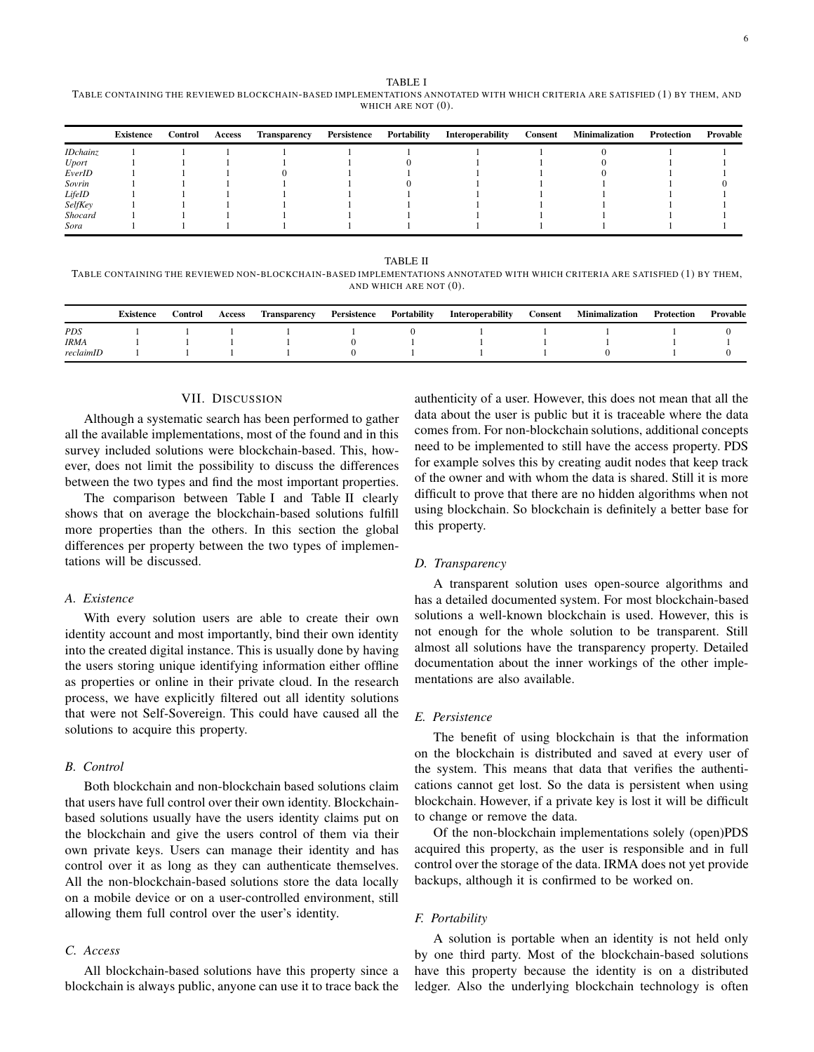TABLE I

<span id="page-5-0"></span>TABLE CONTAINING THE REVIEWED BLOCKCHAIN-BASED IMPLEMENTATIONS ANNOTATED WITH WHICH CRITERIA ARE SATISFIED (1) BY THEM, AND WHICH ARE NOT  $(0)$ .

|                 | <b>Existence</b> | Control | Access | <b>Transparency</b> | Persistence | Portability | Interoperability | Consent | <b>Minimalization</b> | Protection | Provable |
|-----------------|------------------|---------|--------|---------------------|-------------|-------------|------------------|---------|-----------------------|------------|----------|
| <b>IDchainz</b> |                  |         |        |                     |             |             |                  |         |                       |            |          |
| Uport           |                  |         |        |                     |             |             |                  |         |                       |            |          |
| EverID          |                  |         |        | $\mathbf{U}$        |             |             |                  |         |                       |            |          |
| Sovrin          |                  |         |        |                     |             |             |                  |         |                       |            |          |
| LifeID          |                  |         |        |                     |             |             |                  |         |                       |            |          |
| SelfKey         |                  |         |        |                     |             |             |                  |         |                       |            |          |
| Shocard         |                  |         |        |                     |             |             |                  |         |                       |            |          |
| Sora            |                  |         |        |                     |             |             |                  |         |                       |            |          |

TABLE II

<span id="page-5-1"></span>TABLE CONTAINING THE REVIEWED NON-BLOCKCHAIN-BASED IMPLEMENTATIONS ANNOTATED WITH WHICH CRITERIA ARE SATISFIED (1) BY THEM, AND WHICH ARE NOT (0).

|             | <b>Existence</b> | Control | Access | <b>Transparency</b> | Persistence | Portability | Interoperability | Consent | <b>Minimalization</b> | Protection | Provable |
|-------------|------------------|---------|--------|---------------------|-------------|-------------|------------------|---------|-----------------------|------------|----------|
| <b>PDS</b>  |                  |         |        |                     |             |             |                  |         |                       |            |          |
| <b>IRMA</b> |                  |         |        |                     |             |             |                  |         |                       |            |          |
| reclaimIL   |                  |         |        |                     |             |             |                  |         |                       |            |          |

## VII. DISCUSSION

Although a systematic search has been performed to gather all the available implementations, most of the found and in this survey included solutions were blockchain-based. This, however, does not limit the possibility to discuss the differences between the two types and find the most important properties.

The comparison between [Table I](#page-5-0) and [Table II](#page-5-1) clearly shows that on average the blockchain-based solutions fulfill more properties than the others. In this section the global differences per property between the two types of implementations will be discussed.

# *A. Existence*

With every solution users are able to create their own identity account and most importantly, bind their own identity into the created digital instance. This is usually done by having the users storing unique identifying information either offline as properties or online in their private cloud. In the research process, we have explicitly filtered out all identity solutions that were not Self-Sovereign. This could have caused all the solutions to acquire this property.

# *B. Control*

Both blockchain and non-blockchain based solutions claim that users have full control over their own identity. Blockchainbased solutions usually have the users identity claims put on the blockchain and give the users control of them via their own private keys. Users can manage their identity and has control over it as long as they can authenticate themselves. All the non-blockchain-based solutions store the data locally on a mobile device or on a user-controlled environment, still allowing them full control over the user's identity.

## *C. Access*

All blockchain-based solutions have this property since a blockchain is always public, anyone can use it to trace back the authenticity of a user. However, this does not mean that all the data about the user is public but it is traceable where the data comes from. For non-blockchain solutions, additional concepts need to be implemented to still have the access property. PDS for example solves this by creating audit nodes that keep track of the owner and with whom the data is shared. Still it is more difficult to prove that there are no hidden algorithms when not using blockchain. So blockchain is definitely a better base for this property.

#### *D. Transparency*

A transparent solution uses open-source algorithms and has a detailed documented system. For most blockchain-based solutions a well-known blockchain is used. However, this is not enough for the whole solution to be transparent. Still almost all solutions have the transparency property. Detailed documentation about the inner workings of the other implementations are also available.

# *E. Persistence*

The benefit of using blockchain is that the information on the blockchain is distributed and saved at every user of the system. This means that data that verifies the authentications cannot get lost. So the data is persistent when using blockchain. However, if a private key is lost it will be difficult to change or remove the data.

Of the non-blockchain implementations solely (open)PDS acquired this property, as the user is responsible and in full control over the storage of the data. IRMA does not yet provide backups, although it is confirmed to be worked on.

## *F. Portability*

A solution is portable when an identity is not held only by one third party. Most of the blockchain-based solutions have this property because the identity is on a distributed ledger. Also the underlying blockchain technology is often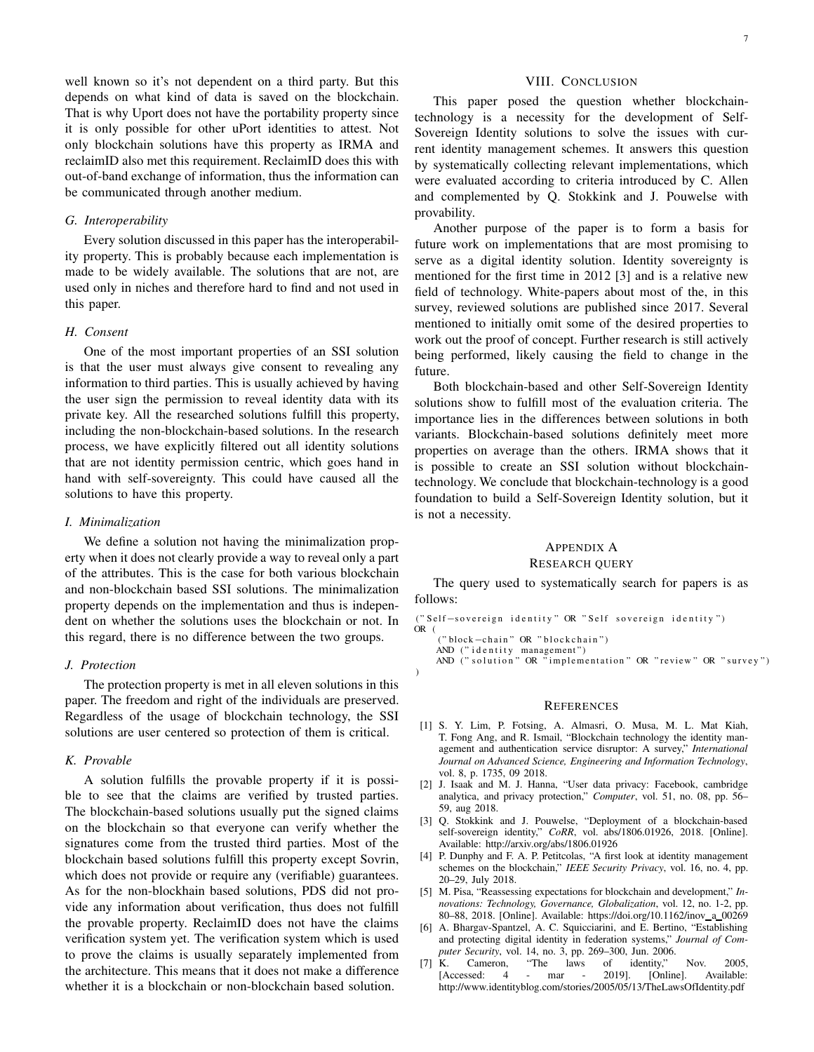well known so it's not dependent on a third party. But this depends on what kind of data is saved on the blockchain. That is why Uport does not have the portability property since it is only possible for other uPort identities to attest. Not only blockchain solutions have this property as IRMA and reclaimID also met this requirement. ReclaimID does this with out-of-band exchange of information, thus the information can be communicated through another medium.

#### *G. Interoperability*

Every solution discussed in this paper has the interoperability property. This is probably because each implementation is made to be widely available. The solutions that are not, are used only in niches and therefore hard to find and not used in this paper.

# *H. Consent*

One of the most important properties of an SSI solution is that the user must always give consent to revealing any information to third parties. This is usually achieved by having the user sign the permission to reveal identity data with its private key. All the researched solutions fulfill this property, including the non-blockchain-based solutions. In the research process, we have explicitly filtered out all identity solutions that are not identity permission centric, which goes hand in hand with self-sovereignty. This could have caused all the solutions to have this property.

#### *I. Minimalization*

We define a solution not having the minimalization property when it does not clearly provide a way to reveal only a part of the attributes. This is the case for both various blockchain and non-blockchain based SSI solutions. The minimalization property depends on the implementation and thus is independent on whether the solutions uses the blockchain or not. In this regard, there is no difference between the two groups.

#### *J. Protection*

The protection property is met in all eleven solutions in this paper. The freedom and right of the individuals are preserved. Regardless of the usage of blockchain technology, the SSI solutions are user centered so protection of them is critical.

# *K. Provable*

A solution fulfills the provable property if it is possible to see that the claims are verified by trusted parties. The blockchain-based solutions usually put the signed claims on the blockchain so that everyone can verify whether the signatures come from the trusted third parties. Most of the blockchain based solutions fulfill this property except Sovrin, which does not provide or require any (verifiable) guarantees. As for the non-blockhain based solutions, PDS did not provide any information about verification, thus does not fulfill the provable property. ReclaimID does not have the claims verification system yet. The verification system which is used to prove the claims is usually separately implemented from the architecture. This means that it does not make a difference whether it is a blockchain or non-blockchain based solution.

# VIII. CONCLUSION

<span id="page-6-5"></span>This paper posed the question whether blockchaintechnology is a necessity for the development of Self-Sovereign Identity solutions to solve the issues with current identity management schemes. It answers this question by systematically collecting relevant implementations, which were evaluated according to criteria introduced by C. Allen and complemented by Q. Stokkink and J. Pouwelse with provability.

Another purpose of the paper is to form a basis for future work on implementations that are most promising to serve as a digital identity solution. Identity sovereignty is mentioned for the first time in 2012 [\[3\]](#page-6-2) and is a relative new field of technology. White-papers about most of the, in this survey, reviewed solutions are published since 2017. Several mentioned to initially omit some of the desired properties to work out the proof of concept. Further research is still actively being performed, likely causing the field to change in the future.

Both blockchain-based and other Self-Sovereign Identity solutions show to fulfill most of the evaluation criteria. The importance lies in the differences between solutions in both variants. Blockchain-based solutions definitely meet more properties on average than the others. IRMA shows that it is possible to create an SSI solution without blockchaintechnology. We conclude that blockchain-technology is a good foundation to build a Self-Sovereign Identity solution, but it is not a necessity.

# <span id="page-6-8"></span>APPENDIX A

#### RESEARCH QUERY

The query used to systematically search for papers is as follows:

(" Self-sovereign identity" OR " Self sovereign identity") OR (

```
("block-chain" OR "blockchain")
```
AND ("identity management")

AND (" solution" OR "implementation" OR "review" OR "survey")  $\lambda$ 

#### **REFERENCES**

- <span id="page-6-0"></span>[1] S. Y. Lim, P. Fotsing, A. Almasri, O. Musa, M. L. Mat Kiah, T. Fong Ang, and R. Ismail, "Blockchain technology the identity management and authentication service disruptor: A survey," *International Journal on Advanced Science, Engineering and Information Technology*, vol. 8, p. 1735, 09 2018.
- <span id="page-6-1"></span>[2] J. Isaak and M. J. Hanna, "User data privacy: Facebook, cambridge analytica, and privacy protection," *Computer*, vol. 51, no. 08, pp. 56– 59, aug 2018.
- <span id="page-6-2"></span>[3] Q. Stokkink and J. Pouwelse, "Deployment of a blockchain-based self-sovereign identity," *CoRR*, vol. abs/1806.01926, 2018. [Online]. Available:<http://arxiv.org/abs/1806.01926>
- <span id="page-6-3"></span>[4] P. Dunphy and F. A. P. Petitcolas, "A first look at identity management schemes on the blockchain," *IEEE Security Privacy*, vol. 16, no. 4, pp. 20–29, July 2018.
- <span id="page-6-4"></span>[5] M. Pisa, "Reassessing expectations for blockchain and development," *Innovations: Technology, Governance, Globalization*, vol. 12, no. 1-2, pp. 80–88, 2018. [Online]. Available: [https://doi.org/10.1162/inov](https://doi.org/10.1162/inov_a_00269) a 00269
- <span id="page-6-6"></span>[6] A. Bhargav-Spantzel, A. C. Squicciarini, and E. Bertino, "Establishing and protecting digital identity in federation systems," *Journal of Computer Security*, vol. 14, no. 3, pp. 269–300, Jun. 2006.<br>K. Cameron, "The laws of identity,"
- <span id="page-6-7"></span>[7] K. Cameron, "The laws of identity," Nov. 2005, [Accessed: 4 - mar - 2019]. [Online]. Available: <http://www.identityblog.com/stories/2005/05/13/TheLawsOfIdentity.pdf>